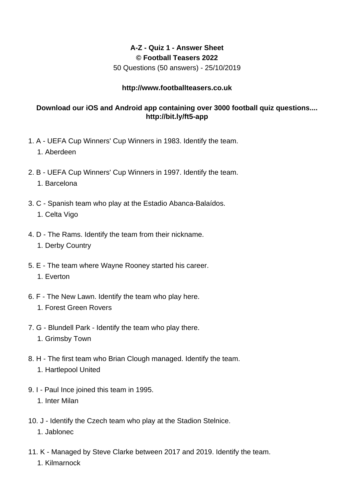## **A-Z - Quiz 1 - Answer Sheet © Football Teasers 2022**

50 Questions (50 answers) - 25/10/2019

## **http://www.footballteasers.co.uk**

## **Download our iOS and Android app containing over 3000 football quiz questions.... http://bit.ly/ft5-app**

- 1. A UEFA Cup Winners' Cup Winners in 1983. Identify the team.
	- 1. Aberdeen
- 2. B UEFA Cup Winners' Cup Winners in 1997. Identify the team.
	- 1. Barcelona
- 3. C Spanish team who play at the Estadio Abanca-Balaídos.
	- 1. Celta Vigo
- 4. D The Rams. Identify the team from their nickname.
	- 1. Derby Country
- 5. E The team where Wayne Rooney started his career. 1. Everton
- 6. F The New Lawn. Identify the team who play here.
	- 1. Forest Green Rovers
- 7. G Blundell Park Identify the team who play there.
	- 1. Grimsby Town
- 8. H The first team who Brian Clough managed. Identify the team.
	- 1. Hartlepool United
- 9. I Paul Ince joined this team in 1995.
	- 1. Inter Milan
- 10. J Identify the Czech team who play at the Stadion Stelnice.
	- 1. Jablonec
- 11. K Managed by Steve Clarke between 2017 and 2019. Identify the team.
	- 1. Kilmarnock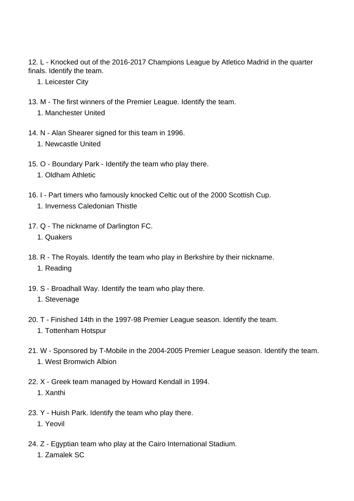12. L - Knocked out of the 2016-2017 Champions League by Atletico Madrid in the quarter finals. Identify the team.

- 1. Leicester City
- 13. M The first winners of the Premier League. Identify the team.
	- 1. Manchester United
- 14. N Alan Shearer signed for this team in 1996.
	- 1. Newcastle United
- 15. O Boundary Park Identify the team who play there.
	- 1. Oldham Athletic
- 16. I Part timers who famously knocked Celtic out of the 2000 Scottish Cup. 1. Inverness Caledonian Thistle
- 17. Q The nickname of Darlington FC.
	- 1. Quakers
- 18. R The Royals. Identify the team who play in Berkshire by their nickname. 1. Reading
- 19. S Broadhall Way. Identify the team who play there.
	- 1. Stevenage
- 20. T Finished 14th in the 1997-98 Premier League season. Identify the team. 1. Tottenham Hotspur
- 21. W Sponsored by T-Mobile in the 2004-2005 Premier League season. Identify the team. 1. West Bromwich Albion
- 22. X Greek team managed by Howard Kendall in 1994. 1. Xanthi
- 23. Y Huish Park. Identify the team who play there.
	- 1. Yeovil
- 24. Z Egyptian team who play at the Cairo International Stadium.
	- 1. Zamalek SC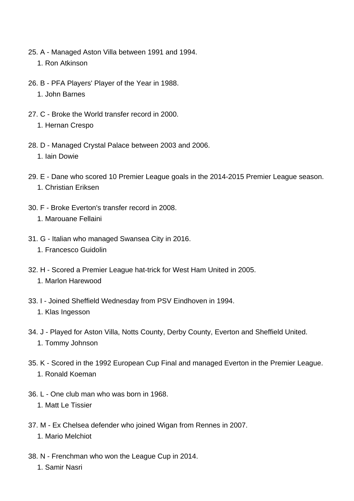- 25. A Managed Aston Villa between 1991 and 1994.
	- 1. Ron Atkinson
- 26. B PFA Players' Player of the Year in 1988.
	- 1. John Barnes
- 27. C Broke the World transfer record in 2000. 1. Hernan Crespo
- 28. D Managed Crystal Palace between 2003 and 2006. 1. Iain Dowie
- 29. E Dane who scored 10 Premier League goals in the 2014-2015 Premier League season. 1. Christian Eriksen
- 30. F Broke Everton's transfer record in 2008. 1. Marouane Fellaini
- 31. G Italian who managed Swansea City in 2016.
	- 1. Francesco Guidolin
- 32. H Scored a Premier League hat-trick for West Ham United in 2005. 1. Marlon Harewood
- 33. I Joined Sheffield Wednesday from PSV Eindhoven in 1994. 1. Klas Ingesson
- 34. J Played for Aston Villa, Notts County, Derby County, Everton and Sheffield United. 1. Tommy Johnson
- 35. K Scored in the 1992 European Cup Final and managed Everton in the Premier League. 1. Ronald Koeman
- 36. L One club man who was born in 1968.
	- 1. Matt Le Tissier
- 37. M Ex Chelsea defender who joined Wigan from Rennes in 2007. 1. Mario Melchiot
- 38. N Frenchman who won the League Cup in 2014.
	- 1. Samir Nasri